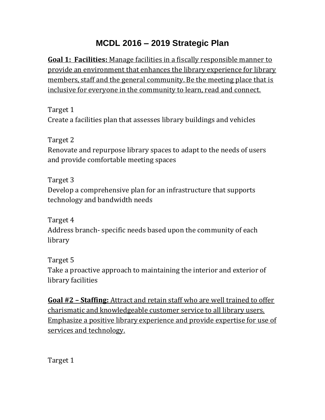## **MCDL 2016 – 2019 Strategic Plan**

**Goal 1: Facilities:** Manage facilities in a fiscally responsible manner to provide an environment that enhances the library experience for library members, staff and the general community. Be the meeting place that is inclusive for everyone in the community to learn, read and connect.

Target 1 Create a facilities plan that assesses library buildings and vehicles

Target 2

Renovate and repurpose library spaces to adapt to the needs of users and provide comfortable meeting spaces

Target 3 Develop a comprehensive plan for an infrastructure that supports technology and bandwidth needs

Target 4 Address branch- specific needs based upon the community of each library

Target 5 Take a proactive approach to maintaining the interior and exterior of library facilities

**Goal #2 – Staffing:** Attract and retain staff who are well trained to offer charismatic and knowledgeable customer service to all library users. Emphasize a positive library experience and provide expertise for use of services and technology.

Target 1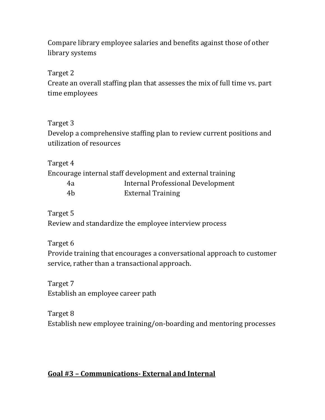Compare library employee salaries and benefits against those of other library systems

Target 2

Create an overall staffing plan that assesses the mix of full time vs. part time employees

## Target 3

Develop a comprehensive staffing plan to review current positions and utilization of resources

Target 4

Encourage internal staff development and external training

| 4a | Internal Professional Development |
|----|-----------------------------------|
| 4b | <b>External Training</b>          |

Target 5

Review and standardize the employee interview process

Target 6

Provide training that encourages a conversational approach to customer service, rather than a transactional approach.

Target 7 Establish an employee career path

Target 8 Establish new employee training/on-boarding and mentoring processes

## **Goal #3 – Communications- External and Internal**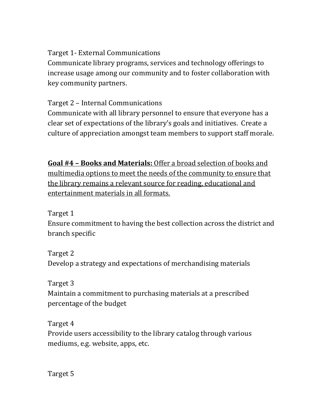Target 1- External Communications

Communicate library programs, services and technology offerings to increase usage among our community and to foster collaboration with key community partners.

Target 2 – Internal Communications

Communicate with all library personnel to ensure that everyone has a clear set of expectations of the library's goals and initiatives. Create a culture of appreciation amongst team members to support staff morale.

**Goal #4 – Books and Materials:** Offer a broad selection of books and multimedia options to meet the needs of the community to ensure that the library remains a relevant source for reading, educational and entertainment materials in all formats.

Target 1

Ensure commitment to having the best collection across the district and branch specific

Target 2 Develop a strategy and expectations of merchandising materials

Target 3

Maintain a commitment to purchasing materials at a prescribed percentage of the budget

Target 4

Provide users accessibility to the library catalog through various mediums, e.g. website, apps, etc.

Target 5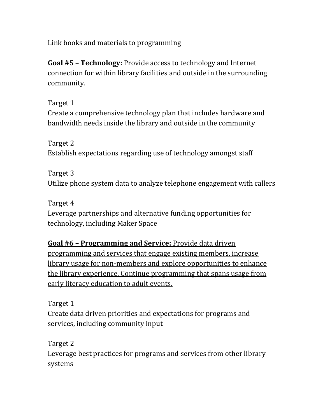Link books and materials to programming

**Goal #5 – Technology:** Provide access to technology and Internet connection for within library facilities and outside in the surrounding community.

Target 1 Create a comprehensive technology plan that includes hardware and bandwidth needs inside the library and outside in the community

Target 2 Establish expectations regarding use of technology amongst staff

Target 3 Utilize phone system data to analyze telephone engagement with callers

Target 4 Leverage partnerships and alternative funding opportunities for technology, including Maker Space

**Goal #6 – Programming and Service:** Provide data driven programming and services that engage existing members, increase library usage for non-members and explore opportunities to enhance the library experience. Continue programming that spans usage from early literacy education to adult events.

Target 1 Create data driven priorities and expectations for programs and services, including community input

Target 2 Leverage best practices for programs and services from other library systems